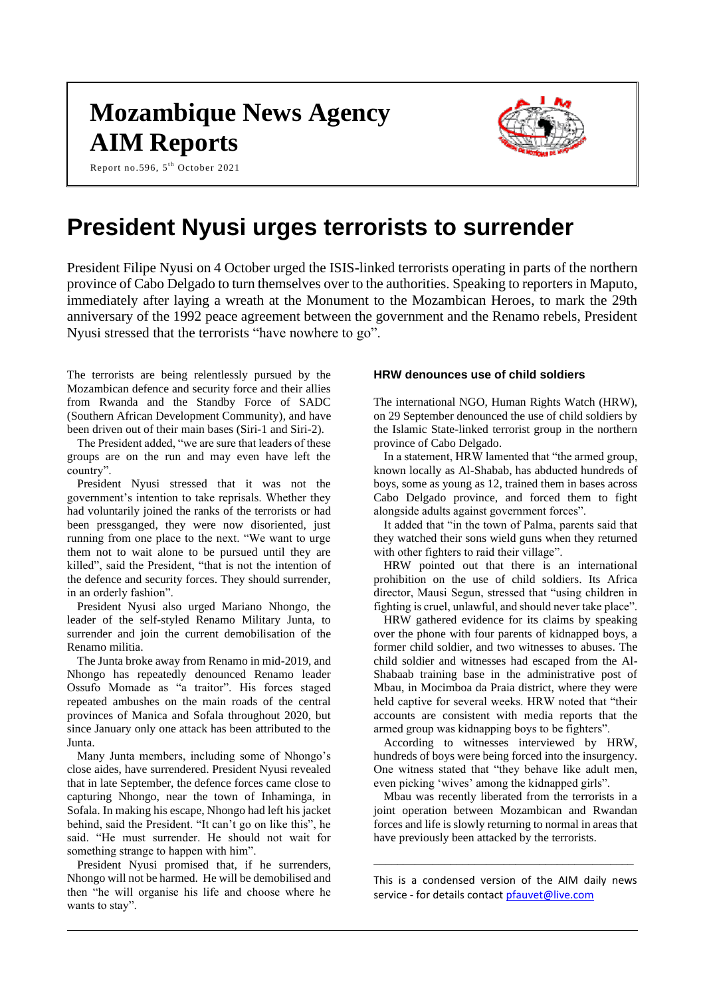# **Mozambique News Agency AIM Reports**

Report no.596, 5<sup>th</sup> October 2021



## **President Nyusi urges terrorists to surrender**

President Filipe Nyusi on 4 October urged the ISIS-linked terrorists operating in parts of the northern province of Cabo Delgado to turn themselves over to the authorities. Speaking to reporters in Maputo, immediately after laying a wreath at the Monument to the Mozambican Heroes, to mark the 29th anniversary of the 1992 peace agreement between the government and the Renamo rebels, President Nyusi stressed that the terrorists "have nowhere to go".

The terrorists are being relentlessly pursued by the Mozambican defence and security force and their allies from Rwanda and the Standby Force of SADC (Southern African Development Community), and have been driven out of their main bases (Siri-1 and Siri-2).

The President added, "we are sure that leaders of these groups are on the run and may even have left the country".

President Nyusi stressed that it was not the government's intention to take reprisals. Whether they had voluntarily joined the ranks of the terrorists or had been pressganged, they were now disoriented, just running from one place to the next. "We want to urge them not to wait alone to be pursued until they are killed", said the President, "that is not the intention of the defence and security forces. They should surrender, in an orderly fashion".

President Nyusi also urged Mariano Nhongo, the leader of the self-styled Renamo Military Junta, to surrender and join the current demobilisation of the Renamo militia.

The Junta broke away from Renamo in mid-2019, and Nhongo has repeatedly denounced Renamo leader Ossufo Momade as "a traitor". His forces staged repeated ambushes on the main roads of the central provinces of Manica and Sofala throughout 2020, but since January only one attack has been attributed to the Junta.

Many Junta members, including some of Nhongo's close aides, have surrendered. President Nyusi revealed that in late September, the defence forces came close to capturing Nhongo, near the town of Inhaminga, in Sofala. In making his escape, Nhongo had left his jacket behind, said the President. "It can't go on like this", he said. "He must surrender. He should not wait for something strange to happen with him".

President Nyusi promised that, if he surrenders, Nhongo will not be harmed. He will be demobilised and then "he will organise his life and choose where he wants to stay".

#### **HRW denounces use of child soldiers**

The international NGO, Human Rights Watch (HRW), on 29 September denounced the use of child soldiers by the Islamic State-linked terrorist group in the northern province of Cabo Delgado.

In a statement, HRW lamented that "the armed group, known locally as Al-Shabab, has abducted hundreds of boys, some as young as 12, trained them in bases across Cabo Delgado province, and forced them to fight alongside adults against government forces".

It added that "in the town of Palma, parents said that they watched their sons wield guns when they returned with other fighters to raid their village".

HRW pointed out that there is an international prohibition on the use of child soldiers. Its Africa director, Mausi Segun, stressed that "using children in fighting is cruel, unlawful, and should never take place".

HRW gathered evidence for its claims by speaking over the phone with four parents of kidnapped boys, a former child soldier, and two witnesses to abuses. The child soldier and witnesses had escaped from the Al-Shabaab training base in the administrative post of Mbau, in Mocimboa da Praia district, where they were held captive for several weeks. HRW noted that "their accounts are consistent with media reports that the armed group was kidnapping boys to be fighters".

According to witnesses interviewed by HRW, hundreds of boys were being forced into the insurgency. One witness stated that "they behave like adult men, even picking 'wives' among the kidnapped girls".

Mbau was recently liberated from the terrorists in a joint operation between Mozambican and Rwandan forces and life is slowly returning to normal in areas that have previously been attacked by the terrorists.

This is a condensed version of the AIM daily news service - for details contac[t pfauvet@live.com](mailto:pfauvet@live.com)

\_\_\_\_\_\_\_\_\_\_\_\_\_\_\_\_\_\_\_\_\_\_\_\_\_\_\_\_\_\_\_\_\_\_\_\_\_\_\_\_\_\_\_\_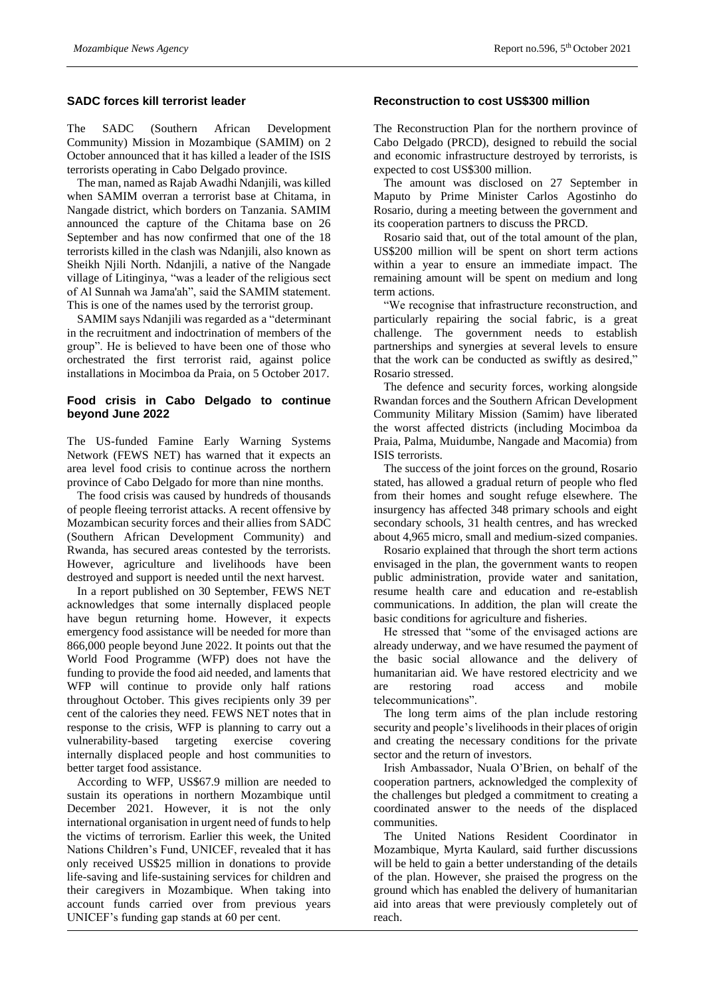#### **SADC forces kill terrorist leader**

The SADC (Southern African Development Community) Mission in Mozambique (SAMIM) on 2 October announced that it has killed a leader of the ISIS terrorists operating in Cabo Delgado province.

The man, named as Rajab Awadhi Ndanjili, was killed when SAMIM overran a terrorist base at Chitama, in Nangade district, which borders on Tanzania. SAMIM announced the capture of the Chitama base on 26 September and has now confirmed that one of the 18 terrorists killed in the clash was Ndanjili, also known as Sheikh Njili North. Ndanjili, a native of the Nangade village of Litinginya, "was a leader of the religious sect of Al Sunnah wa Jama'ah", said the SAMIM statement. This is one of the names used by the terrorist group.

SAMIM says Ndanjili was regarded as a "determinant in the recruitment and indoctrination of members of the group". He is believed to have been one of those who orchestrated the first terrorist raid, against police installations in Mocimboa da Praia, on 5 October 2017.

### **Food crisis in Cabo Delgado to continue beyond June 2022**

The US-funded Famine Early Warning Systems Network (FEWS NET) has warned that it expects an area level food crisis to continue across the northern province of Cabo Delgado for more than nine months.

The food crisis was caused by hundreds of thousands of people fleeing terrorist attacks. A recent offensive by Mozambican security forces and their allies from SADC (Southern African Development Community) and Rwanda, has secured areas contested by the terrorists. However, agriculture and livelihoods have been destroyed and support is needed until the next harvest.

In a report published on 30 September, FEWS NET acknowledges that some internally displaced people have begun returning home. However, it expects emergency food assistance will be needed for more than 866,000 people beyond June 2022. It points out that the World Food Programme (WFP) does not have the funding to provide the food aid needed, and laments that WFP will continue to provide only half rations throughout October. This gives recipients only 39 per cent of the calories they need. FEWS NET notes that in response to the crisis, WFP is planning to carry out a vulnerability-based targeting exercise covering internally displaced people and host communities to better target food assistance.

According to WFP, US\$67.9 million are needed to sustain its operations in northern Mozambique until December 2021. However, it is not the only international organisation in urgent need of funds to help the victims of terrorism. Earlier this week, the United Nations Children's Fund, UNICEF, revealed that it has only received US\$25 million in donations to provide life-saving and life-sustaining services for children and their caregivers in Mozambique. When taking into account funds carried over from previous years UNICEF's funding gap stands at 60 per cent.

#### **Reconstruction to cost US\$300 million**

The Reconstruction Plan for the northern province of Cabo Delgado (PRCD), designed to rebuild the social and economic infrastructure destroyed by terrorists, is expected to cost US\$300 million.

The amount was disclosed on 27 September in Maputo by Prime Minister Carlos Agostinho do Rosario, during a meeting between the government and its cooperation partners to discuss the PRCD.

Rosario said that, out of the total amount of the plan, US\$200 million will be spent on short term actions within a year to ensure an immediate impact. The remaining amount will be spent on medium and long term actions.

"We recognise that infrastructure reconstruction, and particularly repairing the social fabric, is a great challenge. The government needs to establish partnerships and synergies at several levels to ensure that the work can be conducted as swiftly as desired," Rosario stressed.

The defence and security forces, working alongside Rwandan forces and the Southern African Development Community Military Mission (Samim) have liberated the worst affected districts (including Mocimboa da Praia, Palma, Muidumbe, Nangade and Macomia) from ISIS terrorists.

The success of the joint forces on the ground, Rosario stated, has allowed a gradual return of people who fled from their homes and sought refuge elsewhere. The insurgency has affected 348 primary schools and eight secondary schools, 31 health centres, and has wrecked about 4,965 micro, small and medium-sized companies.

Rosario explained that through the short term actions envisaged in the plan, the government wants to reopen public administration, provide water and sanitation, resume health care and education and re-establish communications. In addition, the plan will create the basic conditions for agriculture and fisheries.

He stressed that "some of the envisaged actions are already underway, and we have resumed the payment of the basic social allowance and the delivery of humanitarian aid. We have restored electricity and we are restoring road access and mobile telecommunications".

The long term aims of the plan include restoring security and people's livelihoods in their places of origin and creating the necessary conditions for the private sector and the return of investors.

Irish Ambassador, Nuala O'Brien, on behalf of the cooperation partners, acknowledged the complexity of the challenges but pledged a commitment to creating a coordinated answer to the needs of the displaced communities.

The United Nations Resident Coordinator in Mozambique, Myrta Kaulard, said further discussions will be held to gain a better understanding of the details of the plan. However, she praised the progress on the ground which has enabled the delivery of humanitarian aid into areas that were previously completely out of reach.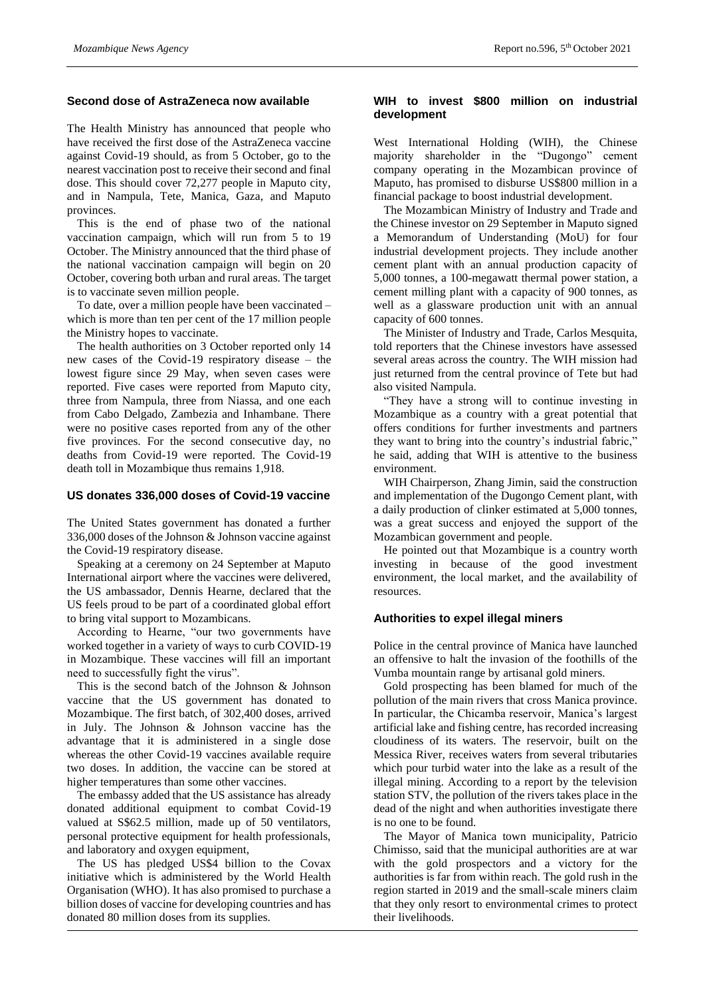#### **Second dose of AstraZeneca now available**

The Health Ministry has announced that people who have received the first dose of the AstraZeneca vaccine against Covid-19 should, as from 5 October, go to the nearest vaccination post to receive their second and final dose. This should cover 72,277 people in Maputo city, and in Nampula, Tete, Manica, Gaza, and Maputo provinces.

This is the end of phase two of the national vaccination campaign, which will run from 5 to 19 October. The Ministry announced that the third phase of the national vaccination campaign will begin on 20 October, covering both urban and rural areas. The target is to vaccinate seven million people.

To date, over a million people have been vaccinated – which is more than ten per cent of the 17 million people the Ministry hopes to vaccinate.

The health authorities on 3 October reported only 14 new cases of the Covid-19 respiratory disease – the lowest figure since 29 May, when seven cases were reported. Five cases were reported from Maputo city, three from Nampula, three from Niassa, and one each from Cabo Delgado, Zambezia and Inhambane. There were no positive cases reported from any of the other five provinces. For the second consecutive day, no deaths from Covid-19 were reported. The Covid-19 death toll in Mozambique thus remains 1,918.

#### **US donates 336,000 doses of Covid-19 vaccine**

The United States government has donated a further 336,000 doses of the Johnson & Johnson vaccine against the Covid-19 respiratory disease.

Speaking at a ceremony on 24 September at Maputo International airport where the vaccines were delivered, the US ambassador, Dennis Hearne, declared that the US feels proud to be part of a coordinated global effort to bring vital support to Mozambicans.

According to Hearne, "our two governments have worked together in a variety of ways to curb COVID-19 in Mozambique. These vaccines will fill an important need to successfully fight the virus".

This is the second batch of the Johnson & Johnson vaccine that the US government has donated to Mozambique. The first batch, of 302,400 doses, arrived in July. The Johnson & Johnson vaccine has the advantage that it is administered in a single dose whereas the other Covid-19 vaccines available require two doses. In addition, the vaccine can be stored at higher temperatures than some other vaccines.

The embassy added that the US assistance has already donated additional equipment to combat Covid-19 valued at S\$62.5 million, made up of 50 ventilators, personal protective equipment for health professionals, and laboratory and oxygen equipment,

The US has pledged US\$4 billion to the Covax initiative which is administered by the World Health Organisation (WHO). It has also promised to purchase a billion doses of vaccine for developing countries and has donated 80 million doses from its supplies.

#### **WIH to invest \$800 million on industrial development**

West International Holding (WIH), the Chinese majority shareholder in the "Dugongo" cement company operating in the Mozambican province of Maputo, has promised to disburse US\$800 million in a financial package to boost industrial development.

The Mozambican Ministry of Industry and Trade and the Chinese investor on 29 September in Maputo signed a Memorandum of Understanding (MoU) for four industrial development projects. They include another cement plant with an annual production capacity of 5,000 tonnes, a 100-megawatt thermal power station, a cement milling plant with a capacity of 900 tonnes, as well as a glassware production unit with an annual capacity of 600 tonnes.

The Minister of Industry and Trade, Carlos Mesquita, told reporters that the Chinese investors have assessed several areas across the country. The WIH mission had just returned from the central province of Tete but had also visited Nampula.

"They have a strong will to continue investing in Mozambique as a country with a great potential that offers conditions for further investments and partners they want to bring into the country's industrial fabric," he said, adding that WIH is attentive to the business environment.

WIH Chairperson, Zhang Jimin, said the construction and implementation of the Dugongo Cement plant, with a daily production of clinker estimated at 5,000 tonnes, was a great success and enjoyed the support of the Mozambican government and people.

He pointed out that Mozambique is a country worth investing in because of the good investment environment, the local market, and the availability of resources.

#### **Authorities to expel illegal miners**

Police in the central province of Manica have launched an offensive to halt the invasion of the foothills of the Vumba mountain range by artisanal gold miners.

Gold prospecting has been blamed for much of the pollution of the main rivers that cross Manica province. In particular, the Chicamba reservoir, Manica's largest artificial lake and fishing centre, has recorded increasing cloudiness of its waters. The reservoir, built on the Messica River, receives waters from several tributaries which pour turbid water into the lake as a result of the illegal mining. According to a report by the television station STV, the pollution of the rivers takes place in the dead of the night and when authorities investigate there is no one to be found.

The Mayor of Manica town municipality, Patricio Chimisso, said that the municipal authorities are at war with the gold prospectors and a victory for the authorities is far from within reach. The gold rush in the region started in 2019 and the small-scale miners claim that they only resort to environmental crimes to protect their livelihoods.